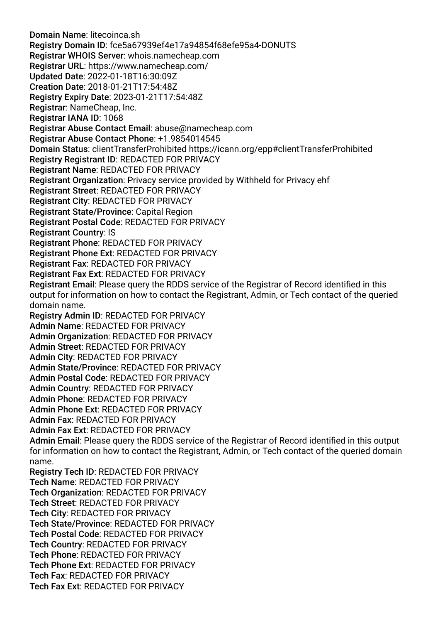Domain Name: litecoinca.sh Registry Domain ID: fce5a67939ef4e17a94854f68efe95a4-DONUTS Registrar WHOIS Server: whois.namecheap.com Registrar URL: https://www.namecheap.com/ Updated Date: 2022-01-18T16:30:09Z Creation Date: 2018-01-21T17:54:48Z Registry Expiry Date: 2023-01-21T17:54:48Z Registrar: NameCheap, Inc. Registrar IANA ID: 1068 Registrar Abuse Contact Email: abuse@namecheap.com Registrar Abuse Contact Phone: +1.9854014545 Domain Status: clientTransferProhibited https://icann.org/epp#clientTransferProhibited Registry Registrant ID: REDACTED FOR PRIVACY Registrant Name: REDACTED FOR PRIVACY Registrant Organization: Privacy service provided by Withheld for Privacy ehf Registrant Street: REDACTED FOR PRIVACY Registrant City: REDACTED FOR PRIVACY Registrant State/Province: Capital Region Registrant Postal Code: REDACTED FOR PRIVACY Registrant Country: IS Registrant Phone: REDACTED FOR PRIVACY Registrant Phone Ext: REDACTED FOR PRIVACY Registrant Fax: REDACTED FOR PRIVACY Registrant Fax Ext: REDACTED FOR PRIVACY Registrant Email: Please query the RDDS service of the Registrar of Record identifed in this output for information on how to contact the Registrant, Admin, or Tech contact of the queried domain name. Registry Admin ID: REDACTED FOR PRIVACY Admin Name: REDACTED FOR PRIVACY Admin Organization: REDACTED FOR PRIVACY Admin Street: REDACTED FOR PRIVACY Admin City: REDACTED FOR PRIVACY Admin State/Province: REDACTED FOR PRIVACY Admin Postal Code: REDACTED FOR PRIVACY Admin Country: REDACTED FOR PRIVACY Admin Phone: REDACTED FOR PRIVACY Admin Phone Ext: REDACTED FOR PRIVACY Admin Fax: REDACTED FOR PRIVACY Admin Fax Ext: REDACTED FOR PRIVACY Admin Email: Please query the RDDS service of the Registrar of Record identifed in this output for information on how to contact the Registrant, Admin, or Tech contact of the queried domain name. Registry Tech ID: REDACTED FOR PRIVACY Tech Name: REDACTED FOR PRIVACY Tech Organization: REDACTED FOR PRIVACY Tech Street: REDACTED FOR PRIVACY Tech City: REDACTED FOR PRIVACY Tech State/Province: REDACTED FOR PRIVACY Tech Postal Code: REDACTED FOR PRIVACY Tech Country: REDACTED FOR PRIVACY Tech Phone: REDACTED FOR PRIVACY Tech Phone Ext: REDACTED FOR PRIVACY Tech Fax: REDACTED FOR PRIVACY Tech Fax Ext: REDACTED FOR PRIVACY